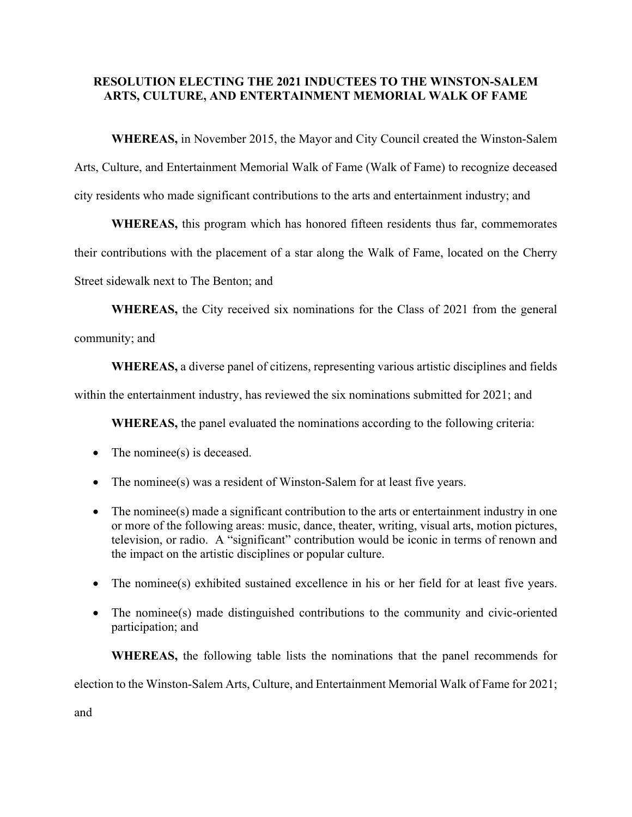## **RESOLUTION ELECTING THE 2021 INDUCTEES TO THE WINSTON-SALEM ARTS, CULTURE, AND ENTERTAINMENT MEMORIAL WALK OF FAME**

 **WHEREAS,** in November 2015, the Mayor and City Council created the Winston-Salem

Arts, Culture, and Entertainment Memorial Walk of Fame (Walk of Fame) to recognize deceased city residents who made significant contributions to the arts and entertainment industry; and

**WHEREAS,** this program which has honored fifteen residents thus far, commemorates their contributions with the placement of a star along the Walk of Fame, located on the Cherry Street sidewalk next to The Benton; and

**WHEREAS,** the City received six nominations for the Class of 2021 from the general community; and

**WHEREAS,** a diverse panel of citizens, representing various artistic disciplines and fields

within the entertainment industry, has reviewed the six nominations submitted for 2021; and

**WHEREAS,** the panel evaluated the nominations according to the following criteria:

- The nominee(s) is deceased.
- The nominee(s) was a resident of Winston-Salem for at least five years.
- The nominee(s) made a significant contribution to the arts or entertainment industry in one or more of the following areas: music, dance, theater, writing, visual arts, motion pictures, television, or radio. A "significant" contribution would be iconic in terms of renown and the impact on the artistic disciplines or popular culture.
- The nominee(s) exhibited sustained excellence in his or her field for at least five years.
- The nominee(s) made distinguished contributions to the community and civic-oriented participation; and

**WHEREAS,** the following table lists the nominations that the panel recommends for election to the Winston-Salem Arts, Culture, and Entertainment Memorial Walk of Fame for 2021;

and